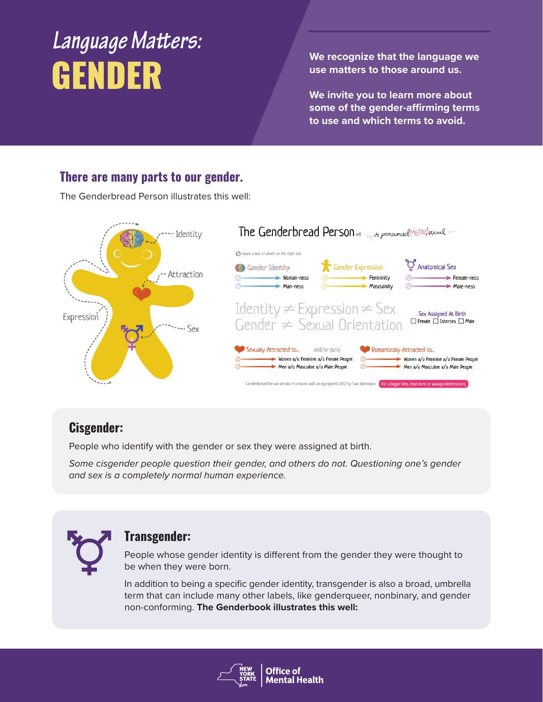# *Language Matters:* We recognize that the language we<br> **GENDER** We matters to those around us.

**use matters to those around us.** 

**We invite you to learn more about some of the gender-affirming terms to use and which terms to avoid.**

#### **There are many parts to our gender.**

The Genderbread Person illustrates this well:



#### **Cisgender:**

People who identify with the gender or sex they were assigned at birth.

*Some cisgender people question their gender, and others do not. Questioning one's gender and sex is a completely normal human experience.*



#### **Transgender:**

People whose gender identity is different from the gender they were thought to be when they were born.

In addition to being a specific gender identity, transgender is also a broad, umbrella term that can include many other labels, like genderqueer, nonbinary, and gender non-conforming. **The Genderbook illustrates this well:** 

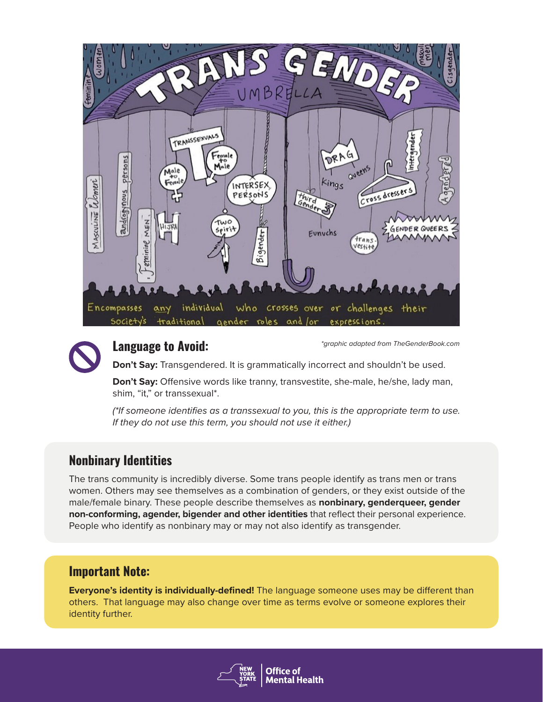



#### *\*graphic adapted from TheGenderBook.com* **Language to Avoid:**

**Don't Say:** Transgendered. It is grammatically incorrect and shouldn't be used.

**Don't Say:** Offensive words like tranny, transvestite, she-male, he/she, lady man, shim, "it," or transsexual\*.

*(\*If someone identifies as a transsexual to you, this is the appropriate term to use. If they do not use this term, you should not use it either.)*

#### **Nonbinary Identities**

The trans community is incredibly diverse. Some trans people identify as trans men or trans women. Others may see themselves as a combination of genders, or they exist outside of the male/female binary. These people describe themselves as **nonbinary, genderqueer, gender non-conforming, agender, bigender and other identities** that reflect their personal experience. People who identify as nonbinary may or may not also identify as transgender.

#### **Important Note:**

**Everyone's identity is individually-defined!** The language someone uses may be different than others. That language may also change over time as terms evolve or someone explores their identity further.

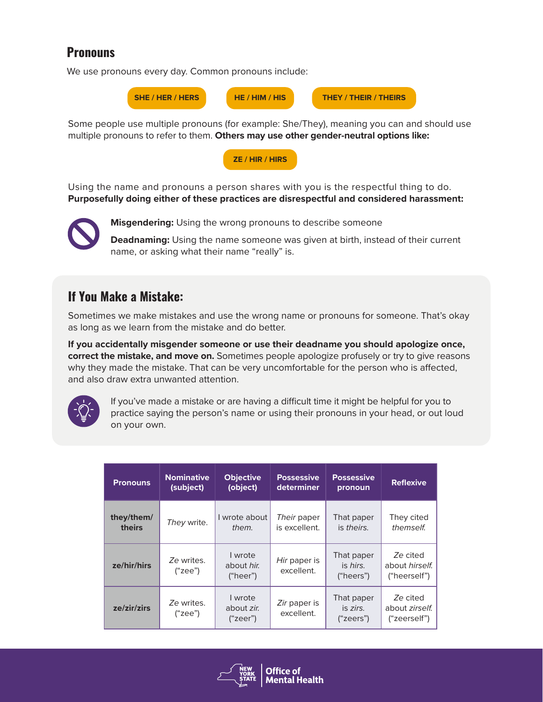#### **Pronouns**

We use pronouns every day. Common pronouns include:



Some people use multiple pronouns (for example: She/They), meaning you can and should use multiple pronouns to refer to them. **Others may use other gender-neutral options like:**



Using the name and pronouns a person shares with you is the respectful thing to do. **Purposefully doing either of these practices are disrespectful and considered harassment:**



**Misgendering:** Using the wrong pronouns to describe someone

**Deadnaming:** Using the name someone was given at birth, instead of their current name, or asking what their name "really" is.

### **If You Make a Mistake:**

Sometimes we make mistakes and use the wrong name or pronouns for someone. That's okay as long as we learn from the mistake and do better.

**If you accidentally misgender someone or use their deadname you should apologize once, correct the mistake, and move on.** Sometimes people apologize profusely or try to give reasons why they made the mistake. That can be very uncomfortable for the person who is affected, and also draw extra unwanted attention.



If you've made a mistake or are having a difficult time it might be helpful for you to practice saying the person's name or using their pronouns in your head, or out loud on your own.

| <b>Pronouns</b>      | <b>Nominative</b><br>(subject) | <b>Objective</b><br>(object)      | <b>Possessive</b><br>determiner | <b>Possessive</b><br>pronoun        | <b>Reflexive</b>                           |
|----------------------|--------------------------------|-----------------------------------|---------------------------------|-------------------------------------|--------------------------------------------|
| they/them/<br>theirs | They write.                    | I wrote about<br>them.            | Their paper<br>is excellent.    | That paper<br>is theirs.            | They cited<br>themself.                    |
| ze/hir/hirs          | Ze writes.<br>("zee")          | I wrote<br>about hir.<br>("heer") | Hir paper is<br>excellent.      | That paper<br>is hirs.<br>("heers") | Ze cited<br>about hirself.<br>("heerself") |
| ze/zir/zirs          | Ze writes.<br>("see")          | I wrote<br>about zir.<br>("zeer") | Zir paper is<br>excellent.      | That paper<br>is zirs.<br>("zeros") | Ze cited<br>about zirself.<br>("zeerself") |